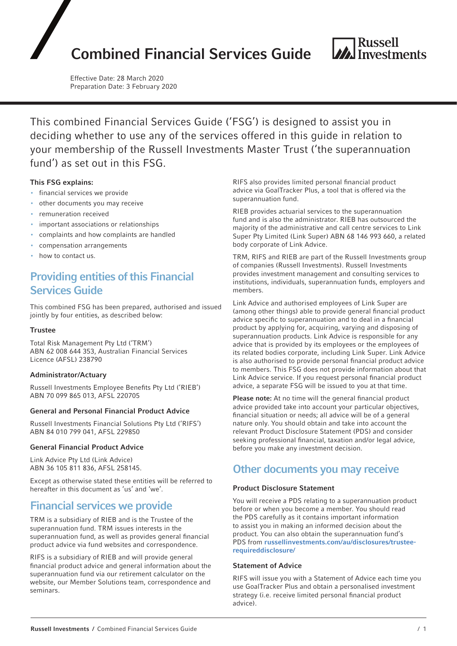# Combined Financial Services Guide



Effective Date: 28 March 2020 Preparation Date: 3 February 2020

This combined Financial Services Guide ('FSG') is designed to assist you in deciding whether to use any of the services offered in this guide in relation to your membership of the Russell Investments Master Trust ('the superannuation fund') as set out in this FSG.

### This FSG explains:

- financial services we provide
- other documents you may receive
- remuneration received
- important associations or relationships
- complaints and how complaints are handled
- compensation arrangements
- how to contact us.

# Providing entities of this Financial Services Guide

This combined FSG has been prepared, authorised and issued jointly by four entities, as described below:

#### **Trustee**

Total Risk Management Pty Ltd ('TRM') ABN 62 008 644 353, Australian Financial Services Licence (AFSL) 238790

#### Administrator/Actuary

Russell Investments Employee Benefits Pty Ltd ('RIEB') ABN 70 099 865 013, AFSL 220705

#### General and Personal Financial Product Advice

Russell Investments Financial Solutions Pty Ltd ('RIFS') ABN 84 010 799 041, AFSL 229850

#### General Financial Product Advice

Link Advice Pty Ltd (Link Advice) ABN 36 105 811 836, AFSL 258145.

Except as otherwise stated these entities will be referred to hereafter in this document as 'us' and 'we'.

# Financial services we provide

TRM is a subsidiary of RIEB and is the Trustee of the superannuation fund. TRM issues interests in the superannuation fund, as well as provides general financial product advice via fund websites and correspondence.

RIFS is a subsidiary of RIEB and will provide general financial product advice and general information about the superannuation fund via our retirement calculator on the website, our Member Solutions team, correspondence and seminars.

RIFS also provides limited personal financial product advice via GoalTracker Plus, a tool that is offered via the superannuation fund.

RIEB provides actuarial services to the superannuation fund and is also the administrator. RIEB has outsourced the majority of the administrative and call centre services to Link Super Pty Limited (Link Super) ABN 68 146 993 660, a related body corporate of Link Advice.

TRM, RIFS and RIEB are part of the Russell Investments group of companies (Russell Investments). Russell Investments provides investment management and consulting services to institutions, individuals, superannuation funds, employers and members.

Link Advice and authorised employees of Link Super are (among other things) able to provide general financial product advice specific to superannuation and to deal in a financial product by applying for, acquiring, varying and disposing of superannuation products. Link Advice is responsible for any advice that is provided by its employees or the employees of its related bodies corporate, including Link Super. Link Advice is also authorised to provide personal financial product advice to members. This FSG does not provide information about that Link Advice service. If you request personal financial product advice, a separate FSG will be issued to you at that time.

Please note: At no time will the general financial product advice provided take into account your particular objectives, financial situation or needs; all advice will be of a general nature only. You should obtain and take into account the relevant Product Disclosure Statement (PDS) and consider seeking professional financial, taxation and/or legal advice, before you make any investment decision.

# Other documents you may receive

#### Product Disclosure Statement

You will receive a PDS relating to a superannuation product before or when you become a member. You should read the PDS carefully as it contains important information to assist you in making an informed decision about the product. You can also obtain the superannuation fund's PDS from [russellinvestments.com/au/disclosures/trustee](https://russellinvestments.com/au/disclosures/trustee-required-disclosure)[requireddisclosure/](https://russellinvestments.com/au/disclosures/trustee-required-disclosure)

#### Statement of Advice

RIFS will issue you with a Statement of Advice each time you use GoalTracker Plus and obtain a personalised investment strategy (i.e. receive limited personal financial product advice).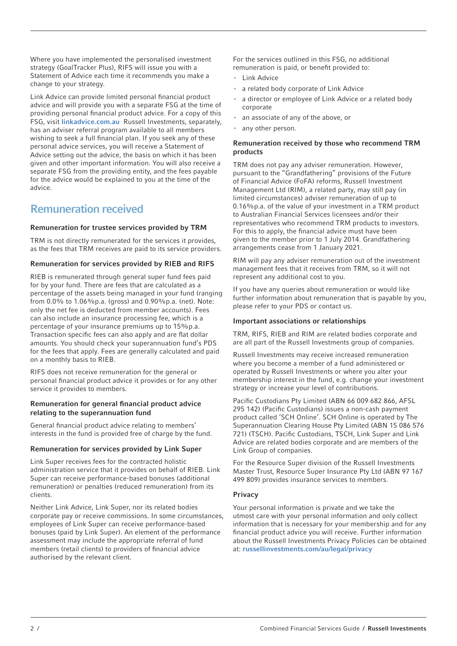Where you have implemented the personalised investment strategy (GoalTracker Plus), RIFS will issue you with a Statement of Advice each time it recommends you make a change to your strategy.

Link Advice can provide limited personal financial product advice and will provide you with a separate FSG at the time of providing personal financial product advice. For a copy of this FSG, visit [linkadvice.com.au](http://linkadvice.com.au/) Russell Investments, separately, has an adviser referral program available to all members wishing to seek a full financial plan. If you seek any of these personal advice services, you will receive a Statement of Advice setting out the advice, the basis on which it has been given and other important information. You will also receive a separate FSG from the providing entity, and the fees payable for the advice would be explained to you at the time of the advice.

# Remuneration received

## Remuneration for trustee services provided by TRM

TRM is not directly remunerated for the services it provides, as the fees that TRM receives are paid to its service providers.

### Remuneration for services provided by RIEB and RIFS

RIEB is remunerated through general super fund fees paid for by your fund. There are fees that are calculated as a percentage of the assets being managed in your fund (ranging from 0.0% to 1.06%p.a. (gross) and 0.90%p.a. (net). Note: only the net fee is deducted from member accounts). Fees can also include an insurance processing fee, which is a percentage of your insurance premiums up to 15%p.a. Transaction specific fees can also apply and are flat dollar amounts. You should check your superannuation fund's PDS for the fees that apply. Fees are generally calculated and paid on a monthly basis to RIEB.

RIFS does not receive remuneration for the general or personal financial product advice it provides or for any other service it provides to members.

#### Remuneration for general financial product advice relating to the superannuation fund

General financial product advice relating to members' interests in the fund is provided free of charge by the fund.

### Remuneration for services provided by Link Super

Link Super receives fees for the contracted holistic administration service that it provides on behalf of RIEB. Link Super can receive performance-based bonuses (additional remuneration) or penalties (reduced remuneration) from its clients.

Neither Link Advice, Link Super, nor its related bodies corporate pay or receive commissions. In some circumstances, employees of Link Super can receive performance-based bonuses (paid by Link Super). An element of the performance assessment may include the appropriate referral of fund members (retail clients) to providers of financial advice authorised by the relevant client.

For the services outlined in this FSG, no additional remuneration is paid, or benefit provided to:

- Link Advice
- a related body corporate of Link Advice
- a director or employee of Link Advice or a related body corporate
- an associate of any of the above, or
- any other person.

### Remuneration received by those who recommend TRM products

TRM does not pay any adviser remuneration. However, pursuant to the "Grandfathering" provisions of the Future of Financial Advice (FoFA) reforms, Russell Investment Management Ltd (RIM), a related party, may still pay (in limited circumstances) adviser remuneration of up to 0.16%p.a. of the value of your investment in a TRM product to Australian Financial Services licensees and/or their representatives who recommend TRM products to investors. For this to apply, the financial advice must have been given to the member prior to 1 July 2014. Grandfathering arrangements cease from 1 January 2021.

RIM will pay any adviser remuneration out of the investment management fees that it receives from TRM, so it will not represent any additional cost to you.

If you have any queries about remuneration or would like further information about remuneration that is payable by you, please refer to your PDS or contact us.

### Important associations or relationships

TRM, RIFS, RIEB and RIM are related bodies corporate and are all part of the Russell Investments group of companies.

Russell Investments may receive increased remuneration where you become a member of a fund administered or operated by Russell Investments or where you alter your membership interest in the fund, e.g. change your investment strategy or increase your level of contributions.

Pacific Custodians Pty Limited (ABN 66 009 682 866, AFSL 295 142) (Pacific Custodians) issues a non-cash payment product called 'SCH Online'. SCH Online is operated by The Superannuation Clearing House Pty Limited (ABN 15 086 576 721) (TSCH). Pacific Custodians, TSCH, Link Super and Link Advice are related bodies corporate and are members of the Link Group of companies.

For the Resource Super division of the Russell Investments Master Trust, Resource Super Insurance Pty Ltd (ABN 97 167 499 809) provides insurance services to members.

### Privacy

Your personal information is private and we take the utmost care with your personal information and only collect information that is necessary for your membership and for any financial product advice you will receive. Further information about the Russell Investments Privacy Policies can be obtained at: [russellinvestments.com/au/legal/privacy](https://russellinvestments.com/au/legal/privacy)